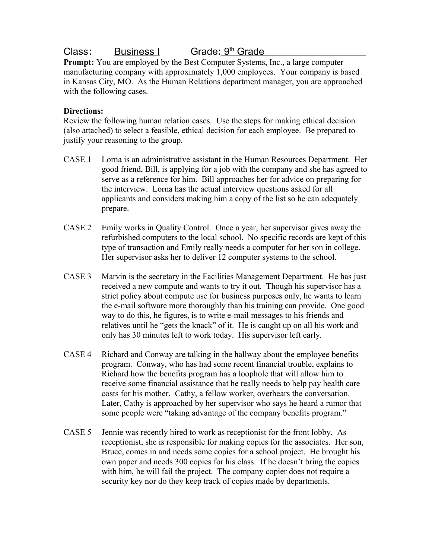## **Class:** Business I Grade: 9<sup>th</sup> Grade

**Prompt:** You are employed by the Best Computer Systems, Inc., a large computer manufacturing company with approximately 1,000 employees. Your company is based in Kansas City, MO. As the Human Relations department manager, you are approached with the following cases.

## **Directions:**

Review the following human relation cases. Use the steps for making ethical decision (also attached) to select a feasible, ethical decision for each employee. Be prepared to justify your reasoning to the group.

- CASE 1 Lorna is an administrative assistant in the Human Resources Department. Her good friend, Bill, is applying for a job with the company and she has agreed to serve as a reference for him. Bill approaches her for advice on preparing for the interview. Lorna has the actual interview questions asked for all applicants and considers making him a copy of the list so he can adequately prepare.
- CASE 2 Emily works in Quality Control. Once a year, her supervisor gives away the refurbished computers to the local school. No specific records are kept of this type of transaction and Emily really needs a computer for her son in college. Her supervisor asks her to deliver 12 computer systems to the school.
- CASE 3 Marvin is the secretary in the Facilities Management Department. He has just received a new compute and wants to try it out. Though his supervisor has a strict policy about compute use for business purposes only, he wants to learn the e-mail software more thoroughly than his training can provide. One good way to do this, he figures, is to write e-mail messages to his friends and relatives until he "gets the knack" of it. He is caught up on all his work and only has 30 minutes left to work today. His supervisor left early.
- CASE 4 Richard and Conway are talking in the hallway about the employee benefits program. Conway, who has had some recent financial trouble, explains to Richard how the benefits program has a loophole that will allow him to receive some financial assistance that he really needs to help pay health care costs for his mother. Cathy, a fellow worker, overhears the conversation. Later, Cathy is approached by her supervisor who says he heard a rumor that some people were "taking advantage of the company benefits program."
- CASE 5 Jennie was recently hired to work as receptionist for the front lobby. As receptionist, she is responsible for making copies for the associates. Her son, Bruce, comes in and needs some copies for a school project. He brought his own paper and needs 300 copies for his class. If he doesn't bring the copies with him, he will fail the project. The company copier does not require a security key nor do they keep track of copies made by departments.